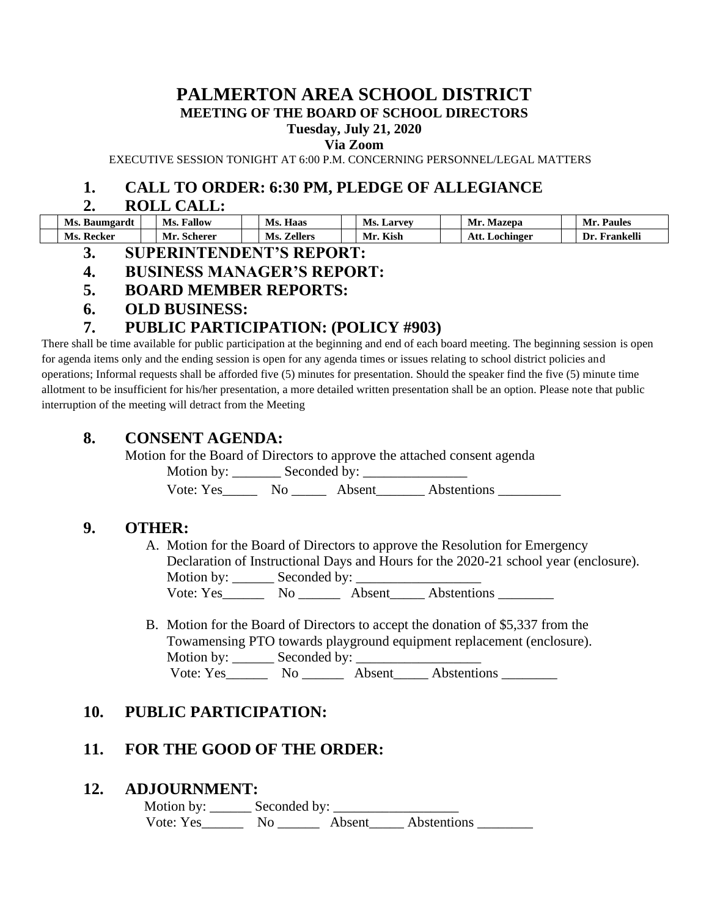# **PALMERTON AREA SCHOOL DISTRICT MEETING OF THE BOARD OF SCHOOL DIRECTORS**

# **Tuesday, July 21, 2020**

**Via Zoom**

EXECUTIVE SESSION TONIGHT AT 6:00 P.M. CONCERNING PERSONNEL/LEGAL MATTERS

## **1. CALL TO ORDER: 6:30 PM, PLEDGE OF ALLEGIANCE**

### **2. ROLL CALL:**

| Ms. Baumgardt | Fallow<br>Ms.    | Haas<br>Ms.           | Ms.<br><b>Larvev</b> | Mazepa<br>Мr     | <b>Paules</b><br>Mr. |
|---------------|------------------|-----------------------|----------------------|------------------|----------------------|
| Ms. Recker    | Mr.<br>. Scherer | <b>Zellers</b><br>Ms. | Kish<br>Mr.          | Lochinger<br>Au. | Frankelli<br>IJr.    |

- **3. SUPERINTENDENT'S REPORT:**
- **4. BUSINESS MANAGER'S REPORT:**
- **5. BOARD MEMBER REPORTS:**
- **6. OLD BUSINESS:**

# **7. PUBLIC PARTICIPATION: (POLICY #903)**

There shall be time available for public participation at the beginning and end of each board meeting. The beginning session is open for agenda items only and the ending session is open for any agenda times or issues relating to school district policies and operations; Informal requests shall be afforded five (5) minutes for presentation. Should the speaker find the five (5) minute time allotment to be insufficient for his/her presentation, a more detailed written presentation shall be an option. Please note that public interruption of the meeting will detract from the Meeting

# **8. CONSENT AGENDA:**

Motion for the Board of Directors to approve the attached consent agenda Motion by: \_\_\_\_\_\_\_ Seconded by: \_\_\_\_\_\_\_\_\_\_\_\_\_\_\_ Vote: Yes No Absent Abstentions

# **9. OTHER:**

A. Motion for the Board of Directors to approve the Resolution for Emergency Declaration of Instructional Days and Hours for the 2020-21 school year (enclosure). Motion by: \_\_\_\_\_\_ Seconded by: \_\_\_\_\_\_\_\_\_\_\_\_\_\_\_\_\_\_ Vote: Yes\_\_\_\_\_\_ No \_\_\_\_\_\_ Absent\_\_\_\_\_ Abstentions \_\_\_\_\_\_\_\_

B. Motion for the Board of Directors to accept the donation of \$5,337 from the Towamensing PTO towards playground equipment replacement (enclosure). Motion by: \_\_\_\_\_\_ Seconded by: \_\_\_\_\_\_\_\_\_\_\_\_\_\_\_\_\_\_ Vote: Yes\_\_\_\_\_\_ No \_\_\_\_\_\_ Absent\_\_\_\_\_ Abstentions \_\_\_\_\_\_\_\_

# **10. PUBLIC PARTICIPATION:**

# **11. FOR THE GOOD OF THE ORDER:**

### **12. ADJOURNMENT:**

 Motion by: \_\_\_\_\_\_ Seconded by: \_\_\_\_\_\_\_\_\_\_\_\_\_\_\_\_\_\_ Vote: Yes\_\_\_\_\_\_ No \_\_\_\_\_\_ Absent\_\_\_\_\_ Abstentions \_\_\_\_\_\_\_\_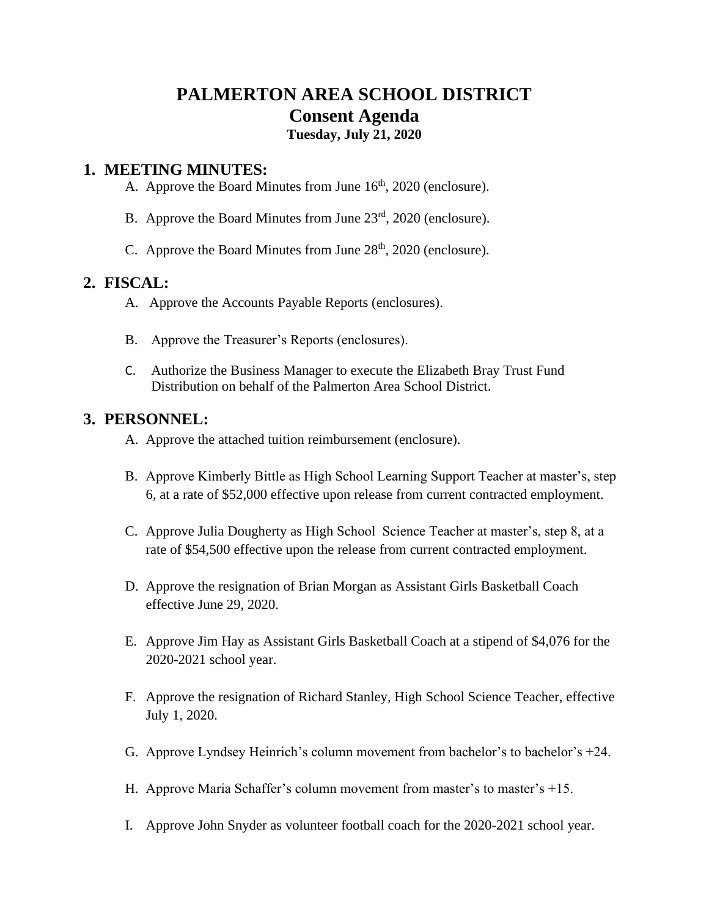# **PALMERTON AREA SCHOOL DISTRICT Consent Agenda**

# **Tuesday, July 21, 2020**

### **1. MEETING MINUTES:**

- A. Approve the Board Minutes from June  $16<sup>th</sup>$ , 2020 (enclosure).
- B. Approve the Board Minutes from June 23<sup>rd</sup>, 2020 (enclosure).
- C. Approve the Board Minutes from June  $28<sup>th</sup>$ , 2020 (enclosure).

## **2. FISCAL:**

- A. Approve the Accounts Payable Reports (enclosures).
- B. Approve the Treasurer's Reports (enclosures).
- C. Authorize the Business Manager to execute the Elizabeth Bray Trust Fund Distribution on behalf of the Palmerton Area School District.

# **3. PERSONNEL:**

- A. Approve the attached tuition reimbursement (enclosure).
- B. Approve Kimberly Bittle as High School Learning Support Teacher at master's, step 6, at a rate of \$52,000 effective upon release from current contracted employment.
- C. Approve Julia Dougherty as High School Science Teacher at master's, step 8, at a rate of \$54,500 effective upon the release from current contracted employment.
- D. Approve the resignation of Brian Morgan as Assistant Girls Basketball Coach effective June 29, 2020.
- E. Approve Jim Hay as Assistant Girls Basketball Coach at a stipend of \$4,076 for the 2020-2021 school year.
- F. Approve the resignation of Richard Stanley, High School Science Teacher, effective July 1, 2020.
- G. Approve Lyndsey Heinrich's column movement from bachelor's to bachelor's +24.
- H. Approve Maria Schaffer's column movement from master's to master's +15.
- I. Approve John Snyder as volunteer football coach for the 2020-2021 school year.